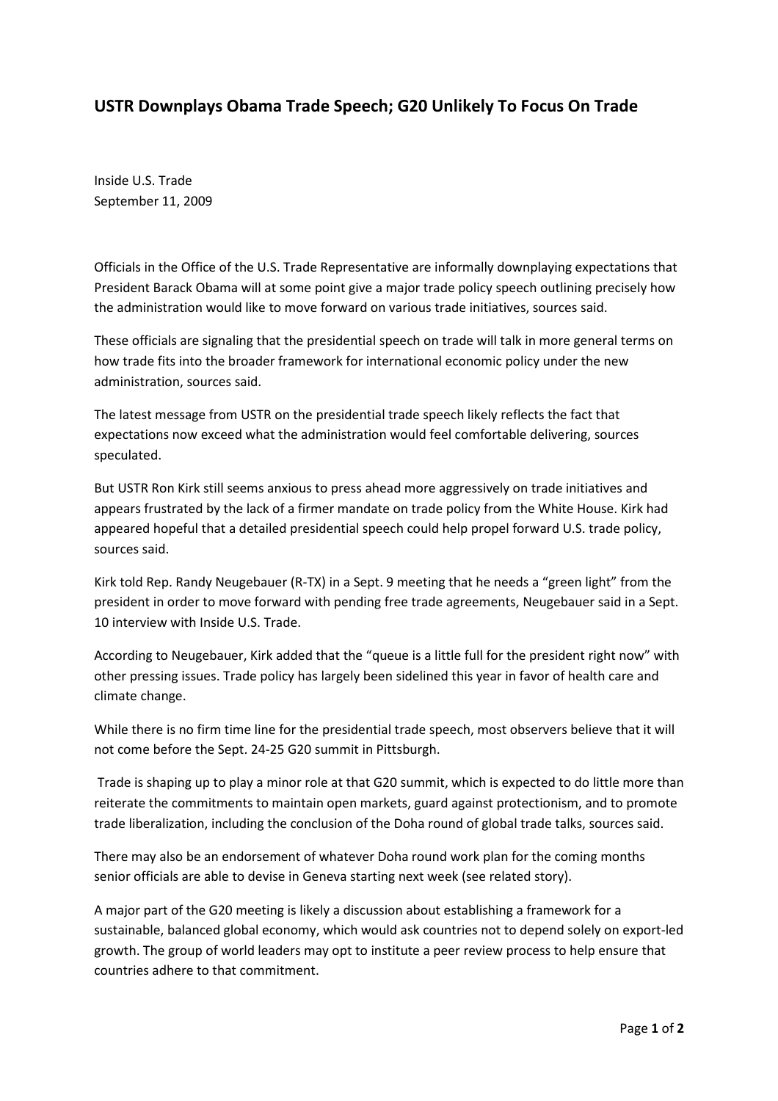## USTR Downplays Obama Trade Speech; G20 Unlikely To Focus On Trade

Inside U.S. Trade September 11, 2009

Officials in the Office of the U.S. Trade Representative are informally downplaying expectations that President Barack Obama will at some point give a major trade policy speech outlining precisely how the administration would like to move forward on various trade initiatives, sources said.

These officials are signaling that the presidential speech on trade will talk in more general terms on how trade fits into the broader framework for international economic policy under the new administration, sources said.

The latest message from USTR on the presidential trade speech likely reflects the fact that expectations now exceed what the administration would feel comfortable delivering, sources speculated.

But USTR Ron Kirk still seems anxious to press ahead more aggressively on trade initiatives and appears frustrated by the lack of a firmer mandate on trade policy from the White House. Kirk had appeared hopeful that a detailed presidential speech could help propel forward U.S. trade policy, sources said.

Kirk told Rep. Randy Neugebauer (R-TX) in a Sept. 9 meeting that he needs a "green light" from the president in order to move forward with pending free trade agreements, Neugebauer said in a Sept. 10 interview with Inside U.S. Trade.

According to Neugebauer, Kirk added that the "queue is a little full for the president right now" with other pressing issues. Trade policy has largely been sidelined this year in favor of health care and climate change.

While there is no firm time line for the presidential trade speech, most observers believe that it will not come before the Sept. 24-25 G20 summit in Pittsburgh.

 Trade is shaping up to play a minor role at that G20 summit, which is expected to do little more than reiterate the commitments to maintain open markets, guard against protectionism, and to promote trade liberalization, including the conclusion of the Doha round of global trade talks, sources said.

There may also be an endorsement of whatever Doha round work plan for the coming months senior officials are able to devise in Geneva starting next week (see related story).

A major part of the G20 meeting is likely a discussion about establishing a framework for a sustainable, balanced global economy, which would ask countries not to depend solely on export-led growth. The group of world leaders may opt to institute a peer review process to help ensure that countries adhere to that commitment.